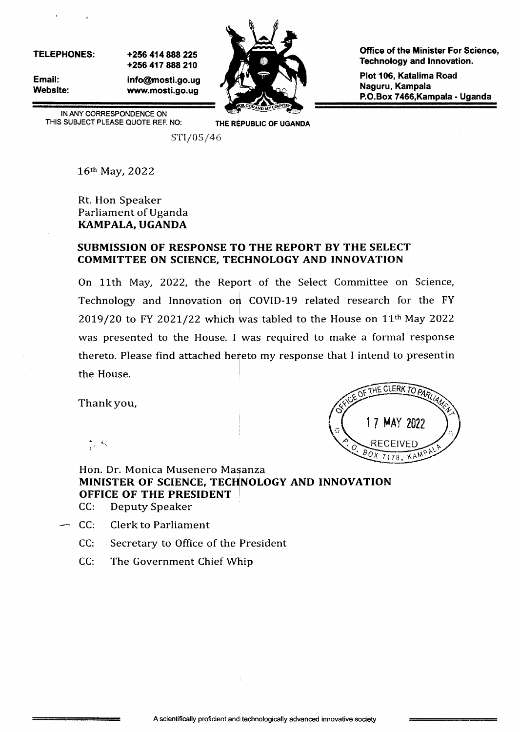TELEPHONES:

 $\mathcal{F}(\mathcal{F})$  , where  $\mathcal{F}(\mathcal{F})$ 

Email: Website: +256 414888225 +256 417 888 210 info@mosti.go.ug www.mosti.go.ug



Office of the Minister For Science, Technology and lnnovation.

Plot 106, Katalima Road Naguru, Kampala P.O.Box 7466,Kampala - Uganda

IN ANY CORRESPONDENCE ON THIS SUBJECT PLEASE QUOTE REF. NO: THE REPUBLIC OF UGANDA

STI/05/46

16th May, 2022

Rt. Hon Speaker Parliament of Uganda KAMPALA, UGANDA

#### SUBMISSION OF RESPONSE TO THE REPORT BY THE SELECT COMMITTEE ON SCIENCE, TECHNOLOGY AND INNOVATION

On 11th May, 2022, the Report of the Select Committee on Science, Technology and Innovation on COVID-19 related research for the FY 2019/20 to FY 2021/22 which was tabled to the House on  $11<sup>th</sup>$  May 2022 was presented to the House. I was required to make a formal response thereto. Please find attached hereto my response that I intend to presentin the House.

Thank you,



I tr.

### Hon. Dr. Monica Musenero Masanza MINISTER OF SCIENCE, TECHNOLOGY AND INNOVATION OFFICE OF THE PRESIDENT

- CC: Deputy Speaker
- CC: Clerk to Parliament
	- CC: Secretary to Office of the Fresident
	- CC: The Government Chief Whip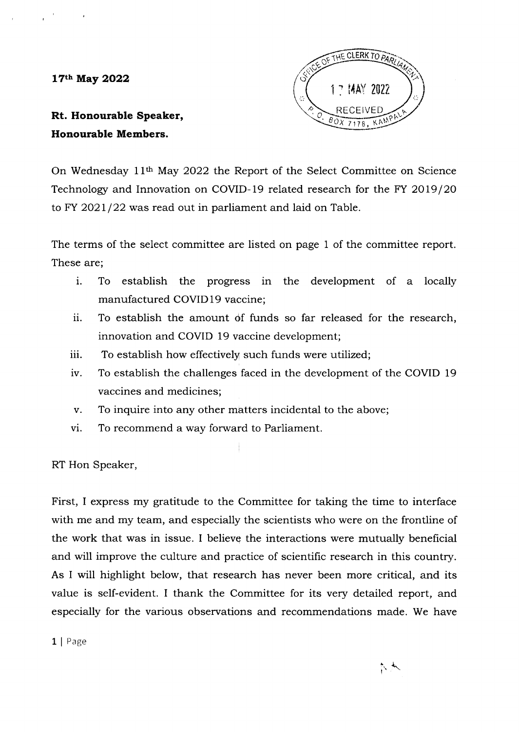17th May 2022



Rt. Honourable Speaker, Honourable Members.

On Wednesday 11<sup>th</sup> May 2022 the Report of the Select Committee on Science Technology and Innovation on COVID-19 related research for the FY 2019/20 to FY 2021/22 was read out in parliament and laid on Table.

The terms of the select committee are listed on page 1 of the committee report. These are;

- i. To establish the progress in the development of a locally manufactured COVID 19 vaccine;
- ii. To establish the amount of funds so far released for the research, innovation and COVID 19 vaccine development;
- iii. To establish how effectively such funds were utilized;
- iv. To establish the challenges faced in the development of the COVID <sup>19</sup> vaccines and medicines;
- v. To inquire into any other mhtters incidental to the above;
- vi. To recommend a way forward to Parliament.

RT Hon Speaker,

First, I express my gratitude to the Committee for taking the time to interface with me and my team, and especially the scientists who were on the frontline of the work that was in issue. I believe the interactions were mutually beneficial and will improve the culture and practice of scientific research in this country. As I will highlight below, that research has never been more critical, and its value is self-evident. I thank the Committee for its very detailed report, and especially for the various observations and recommendations made. We have

1 | Page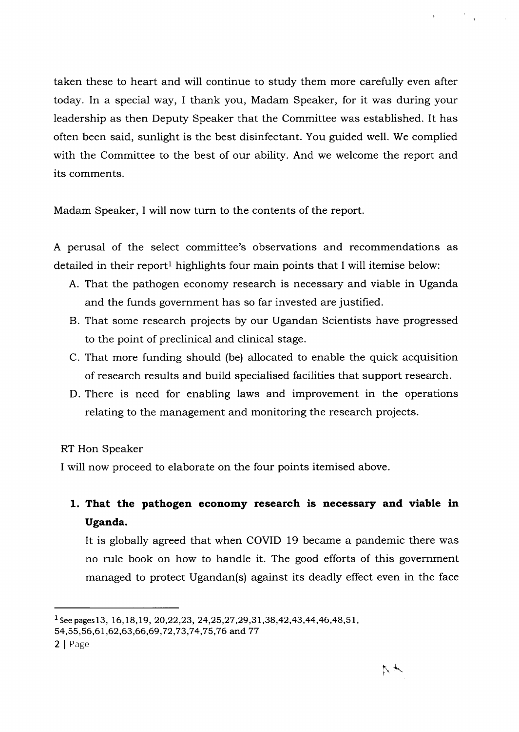taken these to heart and will continue to study them more carefully even after today. In a special way, I thank you, Madam Speaker, for it was during your leadership as then Deputy Speaker that the Committee was established. It has often been said, sunlight is the best disinfectant. You guided well. We complied with the Committee to the best of our ability. And we welcome the report and its comments.

Madam Speaker, I will now turn to the contents of the report

A perusal of the select committee's observations and recommendations as detailed in their report<sup>1</sup> highlights four main points that I will itemise below:

- A. That the pathogen economy research is necessary and viable in Uganda and the funds government has so far invested are justified.
- B. That some research projects by our Ugandan Scientists have progressed to the point of preclinical and clinical stage.
- C. That more funding should (be) allocated to enable the quick acquisition of research results and build specialised facilities that support research.
- D. There is need for enabling laws and improvement in the operations relating to the management and monitoring the research projects.

RT Hon Speaker

I will now proceed to elaborate on the four points itemised above.

1. That the pathogen economy research is necessary and viable in Uganda.

It is globally agreed that when COVID 19 became a pandemic there was no rule book on how to handle it. The good efforts of this government managed to protect Ugandan(s) against its deadly effect even in the face

 $\label{eq:3.1} \mathbf{x} = \begin{bmatrix} 0 & 0 \\ 0 & 0 \\ 0 & 0 \end{bmatrix}$ 

<sup>&</sup>lt;sup>1</sup> See pages 13, 16, 18, 19, 20, 22, 23, 24, 25, 27, 29, 31, 38, 42, 43, 44, 46, 48, 51,

<sup>54, 55, 56, 61, 62, 63, 66, 69, 72, 73, 74, 75, 76</sup> and 77

<sup>2</sup> | Page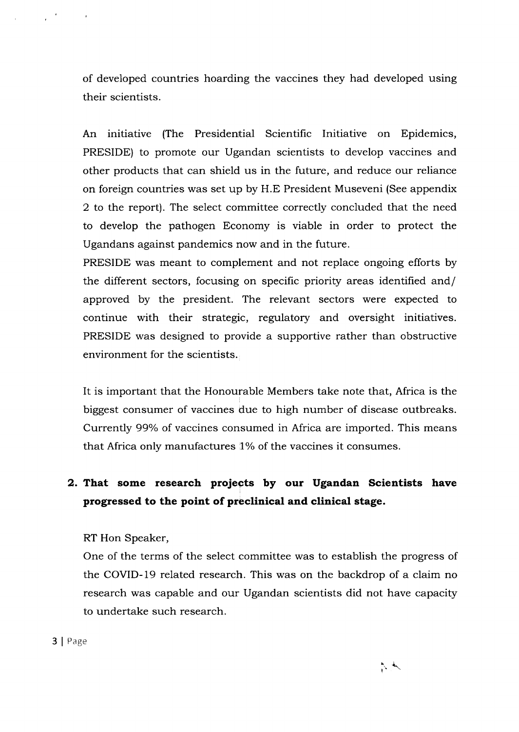of developed countries hoarding the vaccines they had developed using their scientists.

An initiative (The Presidential Scientific Initiative on Epidemics, PRESIDE) to promote our Ugandan scientists to develop vaccines and other products that can shield us in the future, and reduce our reliance on foreign countries was set up by H.E President Museveni (See appendix 2 to the report). The select committee correctly concluded that the need to develop the pathogen Economy is viable in order to protect the Ugandans against pandemics now and in the future.

PRESIDE was meant to complement and not replace ongoing efforts by the different sectors, focusing on specific priority areas identified and/ approved by the president. The relevant sectors were expected to continue with their strategic, regulatory and oversight initiatives. PRESIDE was designed to provide a supportive rather than obstructive environment for the scientists.

It is important that the Honourable Members take note that, Africa is the biggest consumer of vaccines due to high number of disease outbreaks. Currently 99% of vaccines consumed in Africa are imported. This means that Africa only manufactures 1% of the vaccines it consumes.

## 2. That some research projects by our Ugandan Scientists have progressed to the point of preclinical and clinical stage.

RT Hon Speaker,

One of the terms of the select committee was to establish the progress of the COVID-l9 related research. This was on the backdrop of a claim no research was capable and our Ugandan scientists did not have capacity to undertake such research.

3 | Page

 $\mathcal{L}(\mathcal{L})$  and  $\mathcal{L}(\mathcal{L})$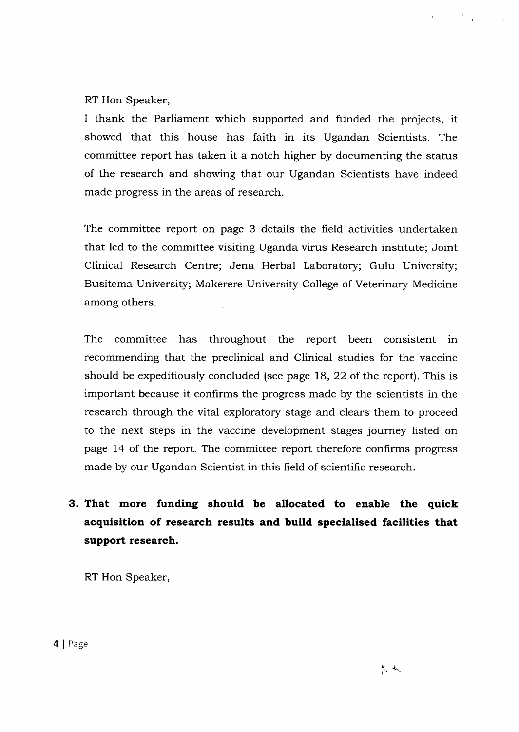RT Hon Speaker,

I thank the Parliament which supported and funded the projects, it showed that this house has faith in its Ugandan Scientists. The committee report has taken it a notch higher by documenting the status of the research and showing that our Ugandan Scientists have indeed made progress in the areas of research.

The committee report on page 3 details the field activities undertaken that led to the committee visiting Uganda virus Research institute; Joint Clinical Research Centre; Jena Herbal Laboratory; Gulu University; Busitema University; Makerere University College of Veterinary Medicine among others.

The committee has throughout the report been consistent in recommending that the preclinical and Clinical studies for the vaccine should be expeditiously concluded (see page 18, 22 of the report). This is important because it confirms the progress made by the scientists in the research through the vital exploratory stage and clears them to proceed to the next steps in the vaccine development stages journey listed on page 14 of the report. The committee report therefore confirms progress made by our Ugandan Scientist in this field of scientific research.

# 3. That more funding should be allocated to enable the quick acquisition of research results and build specialised facilities that support research.

RT Hon Speaker,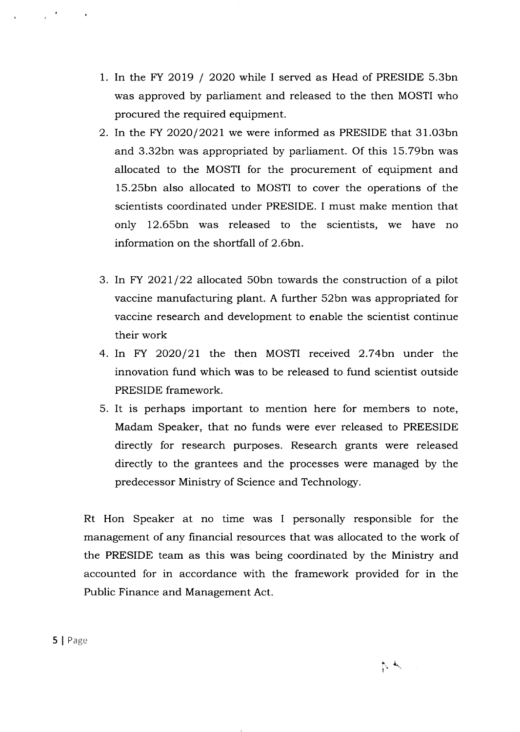- 1. In the FY 2019 / 2020 while I served as Head of PRESIDE 5.3bn was approved by parliament and released to the then MOSTI who procured the required equipment.
- 2. In the FY 2020/2021 we were informed as PRESIDE that  $31.03$ bn and 3.32bn was appropriated by parliament. Of this 15.79bn was allocated to the MOSTI for the procurement of equipment and 15.25bn also allocated to MOSTI to cover the operations of the scientists coordinated under PRESIDE. I must make mention that only 12.65bn was released to the scientists, we have no information on the shortfall of 2.6bn.
- 3. In FY 2021/22 allocated 50bn towards the construction of a pilot vaccine manufacturing plant. A further 52bn was appropriated for vaccine research and development to enable the scientist continue their work
- 4. In FY 2020/21 the then MOSTI received 2.74bn under the innovation fund which was to be released to fund scientist outside PRESIDE framework.
- 5. It is perhaps important to mention here for members to note, Madam Speaker, that no funds were ever released to PREESIDE directly for research purposes. Research grants were released directly to the grantees and the processes were managed by the predecessor Ministry of \$cience and Technologr.

Rt Hon Speaker at no time was I personally responsible for the management of any financial resources that was allocated to the work of the PRESIDE team as this was being coordinated by the Ministry and accounted for in accordance with the framework provided for in the Fublic Finance and Management Act.

 $\sim 10^{11}$  km  $^{-1}$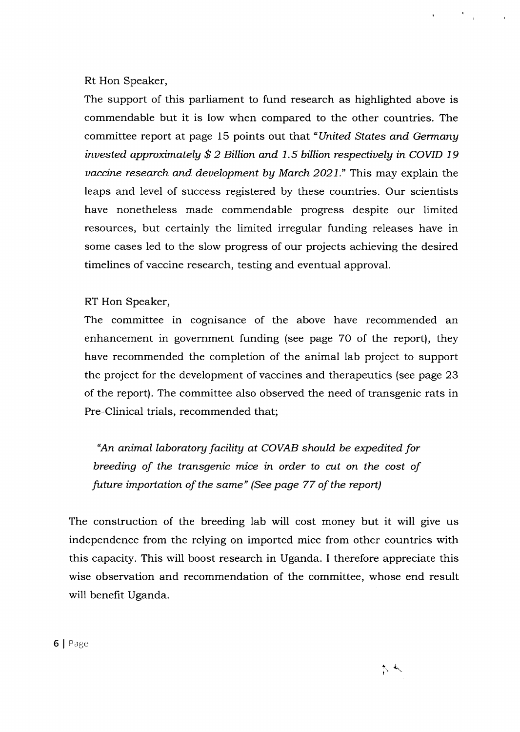### Rt Hon Speaker,

The support of this parliament to fund research as highlighted above is commendable but it is low when compared to the other countries. The committee report at page 15 points out that "United States and Germang invested approximately  $$2$  Billion and 1.5 billion respectively in COVID 19 uaccine research and deuelopment bg March 2021." This may explain the leaps and level of success registered by these countries. Our scientists have nonetheless made commendable progress despite our limited resources, but certainly the limited irregular funding releases have in some cases led to the slow progress of our projects achieving the desired timelines of vaccine research, testing and eventual approval.

#### RT Hon Speaker 'r.,

The committee in cognisance of the above have recommended an enhancement in government funding (see page 70 of the report), they have recommended the completion of the animal lab project to support the project for the development of vaccines and therapeutics (see page 23 of the report). The committee also observed the need of transgenic rats in Pre-Clinical trials, recommended that;

"An animal laboratory facility at COVAB should be expedited for breeding of the transgenic mice in order to cut on the cost of future importation of the same" (See page 77 of the report)

The construction of the breeding lab will cost money but it will give us independence from the relying on imported mice from other countries with this capacity. This will boost research in Uganda. I therefore appreciate this wise observation and recommendation of the committee, whose end result will benefit Uganda.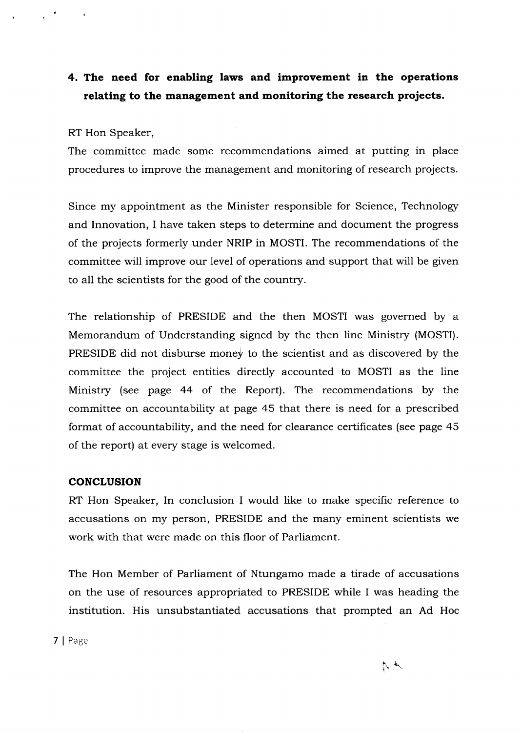## 4. The need for enabling laws and improvement in the operations relating to the management and monitoring the research projects.

#### RT Hon Speaker,

 $\sim$  14

The committee made some recommendations aimed at putting in place procedures to improve the management and monitoring of research projects.

Since my appointment as the Minister responsible for Science, Technologr and Innovation, I have taken steps to determine and document the progress of the projects formerly under NRIP in MOSTI. The recommendations of the committee will improve our level of operations and support that will be given to all the scientists for the good of the country.

The relationship of PRESIDE and the then MOSTI was governed by a Memorandum of Understanding signed by the then line Ministry (MOSTI). PRESIDE did not disburse money to the scientist and as discovered by the committee the project entities directly accounted to MOSTI as the line Ministry (see page 44 of the Report). The recommendations by the committee on accountability at page 45 that there is need for a prescribed format of accountability, and the need for clearance certificates (see page 45 of the report) at every stage is welcomed.

#### **CONCLUSION**

RT Hon Speaker, In conclusion I would like to make specific reference to accusations on my person, PRESIDE and the many eminent scientists we work with that were made on this floor of Parliament.

The Hon Member of Parliament of Ntungamo made a tirade of accusations on the use of resources appropriated to PRESIDE while I was heading the institution. His unsubstantiated accusations that prompted an Ad Hoc

7 | Page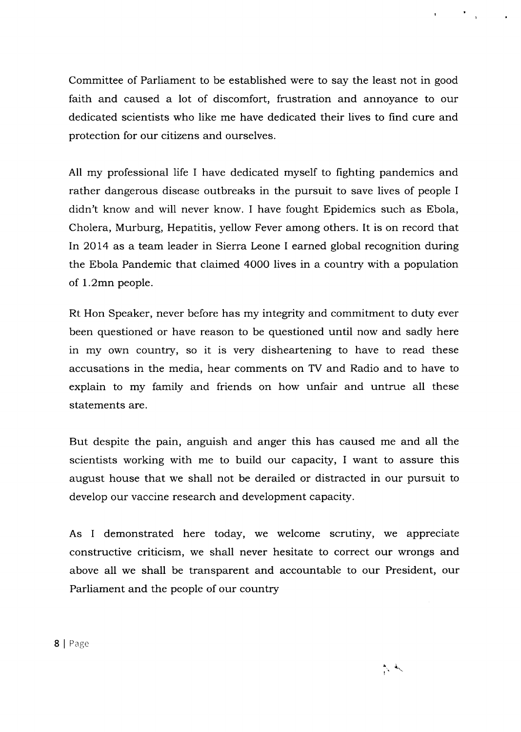Committee of Parliament to be established were to say the least not in good faith and caused a lot of discomfort, frustration and annoyance to our dedicated scientists who like me have dedicated their lives to find cure and protection for our citizens and ourselves.

A11 my professional life I have dedicated myself to fighting pandemics and rather dangerous disease outbreaks in the pursuit to save lives of people I didn't know and will never know. I have fought Epidemics such as Ebola, Cholera, Murburg, Hepatitis, yellow Fever among others. It is on record that In 2014 as a team leader in Sierra Leone I earned global recognition during the Ebola Pandemic that claimed 4O00 lives in a country with a population of l.2mn people.

Rt Hon Speaker, never before has my integrity and commitment to duty ever been questioned or have reason to be questioned until now and sadly here in my own country, so it is very disheartening to have to read these accusations in the media, hear comments on TV and Radio and to have to explain to my family and friends on how unfair and untrue all these statements are.

But despite the pain, anguish and anger this has caused me and all the scientists working with me to build our capacity, I want to assure this august house that we shall not be derailed or distracted in our pursuit to develop our vaccine research and development capacity.

As I demonstrated here today, we welcome scrutiny, we appreciate constructive criticism, we shall never hesitate to correct our wrongs and above all we shall be transparent and accountable to our President, our Parliament and the people of our country